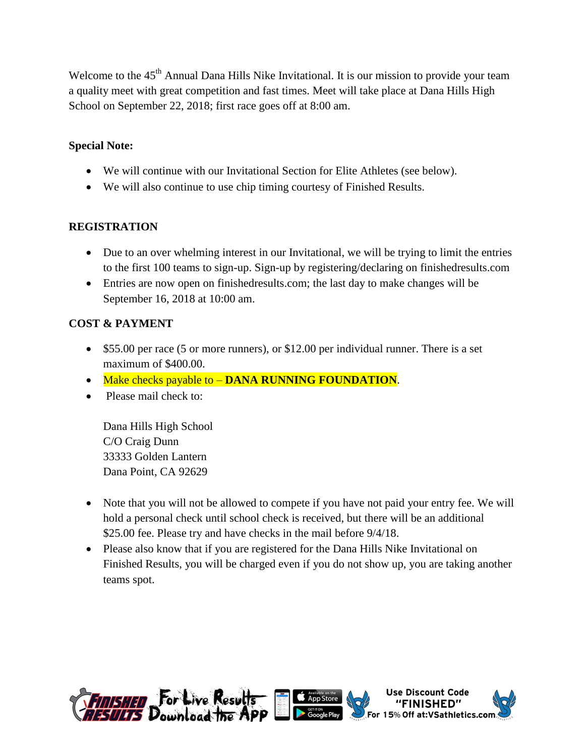Welcome to the 45<sup>th</sup> Annual Dana Hills Nike Invitational. It is our mission to provide your team a quality meet with great competition and fast times. Meet will take place at Dana Hills High School on September 22, 2018; first race goes off at 8:00 am.

## **Special Note:**

- We will continue with our Invitational Section for Elite Athletes (see below).
- We will also continue to use chip timing courtesy of Finished Results.

## **REGISTRATION**

- Due to an over whelming interest in our Invitational, we will be trying to limit the entries to the first 100 teams to sign-up. Sign-up by registering/declaring on finishedresults.com
- Entries are now open on finishedresults.com; the last day to make changes will be September 16, 2018 at 10:00 am.

# **COST & PAYMENT**

- \$55.00 per race (5 or more runners), or \$12.00 per individual runner. There is a set maximum of \$400.00.
- Make checks payable to **DANA RUNNING FOUNDATION**.
- Please mail check to:

Dana Hills High School C/O Craig Dunn 33333 Golden Lantern Dana Point, CA 92629

- Note that you will not be allowed to compete if you have not paid your entry fee. We will hold a personal check until school check is received, but there will be an additional \$25.00 fee. Please try and have checks in the mail before  $9/4/18$ .
- Please also know that if you are registered for the Dana Hills Nike Invitational on Finished Results, you will be charged even if you do not show up, you are taking another teams spot.

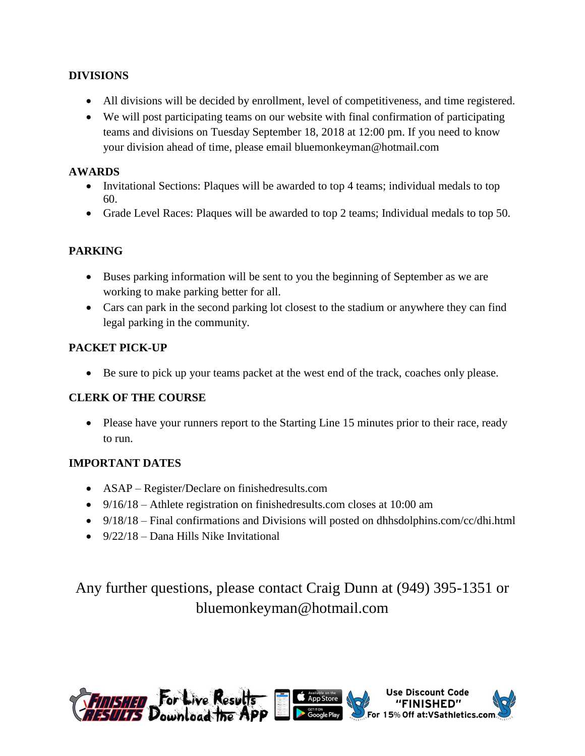## **DIVISIONS**

- All divisions will be decided by enrollment, level of competitiveness, and time registered.
- We will post participating teams on our website with final confirmation of participating teams and divisions on Tuesday September 18, 2018 at 12:00 pm. If you need to know your division ahead of time, please email bluemonkeyman@hotmail.com

### **AWARDS**

- Invitational Sections: Plaques will be awarded to top 4 teams; individual medals to top 60.
- Grade Level Races: Plaques will be awarded to top 2 teams; Individual medals to top 50.

## **PARKING**

- Buses parking information will be sent to you the beginning of September as we are working to make parking better for all.
- Cars can park in the second parking lot closest to the stadium or anywhere they can find legal parking in the community.

# **PACKET PICK-UP**

Be sure to pick up your teams packet at the west end of the track, coaches only please.

### **CLERK OF THE COURSE**

• Please have your runners report to the Starting Line 15 minutes prior to their race, ready to run.

### **IMPORTANT DATES**

- ASAP Register/Declare on finishedresults.com
- 9/16/18 Athlete registration on finishedresults.com closes at 10:00 am
- 9/18/18 Final confirmations and Divisions will posted on dhhsdolphins.com/cc/dhi.html
- $\bullet$  9/22/18 Dana Hills Nike Invitational

# Any further questions, please contact Craig Dunn at (949) 395-1351 or bluemonkeyman@hotmail.com